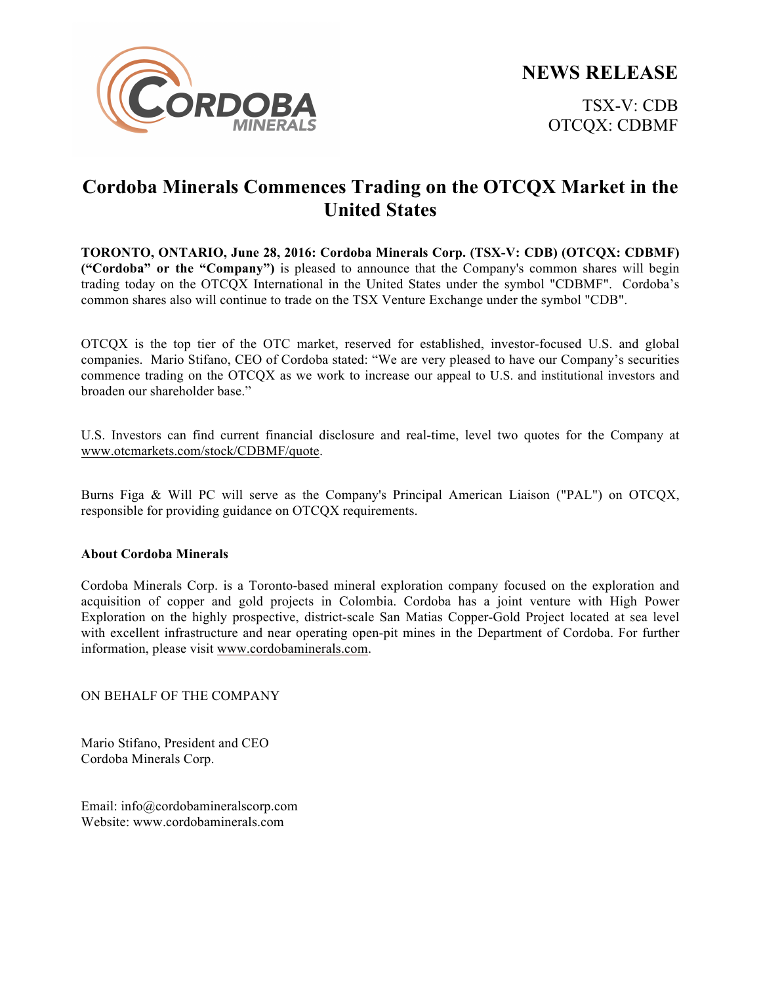



## **Cordoba Minerals Commences Trading on the OTCQX Market in the United States**

**TORONTO, ONTARIO, June 28, 2016: Cordoba Minerals Corp. (TSX-V: CDB) (OTCQX: CDBMF) ("Cordoba" or the "Company")** is pleased to announce that the Company's common shares will begin trading today on the OTCQX International in the United States under the symbol "CDBMF". Cordoba's common shares also will continue to trade on the TSX Venture Exchange under the symbol "CDB".

OTCQX is the top tier of the OTC market, reserved for established, investor-focused U.S. and global companies. Mario Stifano, CEO of Cordoba stated: "We are very pleased to have our Company's securities commence trading on the OTCQX as we work to increase our appeal to U.S. and institutional investors and broaden our shareholder base."

U.S. Investors can find current financial disclosure and real-time, level two quotes for the Company at www.otcmarkets.com/stock/CDBMF/quote.

Burns Figa & Will PC will serve as the Company's Principal American Liaison ("PAL") on OTCQX, responsible for providing guidance on OTCQX requirements.

## **About Cordoba Minerals**

Cordoba Minerals Corp. is a Toronto-based mineral exploration company focused on the exploration and acquisition of copper and gold projects in Colombia. Cordoba has a joint venture with High Power Exploration on the highly prospective, district-scale San Matias Copper-Gold Project located at sea level with excellent infrastructure and near operating open-pit mines in the Department of Cordoba. For further information, please visit www.cordobaminerals.com.

ON BEHALF OF THE COMPANY

Mario Stifano, President and CEO Cordoba Minerals Corp.

Email: info@cordobamineralscorp.com Website: www.cordobaminerals.com